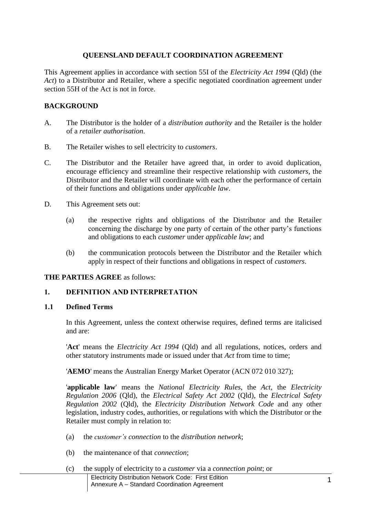# **QUEENSLAND DEFAULT COORDINATION AGREEMENT**

This Agreement applies in accordance with section 55I of the *Electricity Act 1994* (Qld) (the *Act*) to a Distributor and Retailer, where a specific negotiated coordination agreement under section 55H of the Act is not in force.

# **BACKGROUND**

- A. The Distributor is the holder of a *distribution authority* and the Retailer is the holder of a *retailer authorisation*.
- B. The Retailer wishes to sell electricity to *customers*.
- C. The Distributor and the Retailer have agreed that, in order to avoid duplication, encourage efficiency and streamline their respective relationship with *customers*, the Distributor and the Retailer will coordinate with each other the performance of certain of their functions and obligations under *applicable law*.
- D. This Agreement sets out:
	- (a) the respective rights and obligations of the Distributor and the Retailer concerning the discharge by one party of certain of the other party's functions and obligations to each *customer* under *applicable law*; and
	- (b) the communication protocols between the Distributor and the Retailer which apply in respect of their functions and obligations in respect of *customers*.

## **THE PARTIES AGREE** as follows:

## **1. DEFINITION AND INTERPRETATION**

#### <span id="page-0-0"></span>**1.1 Defined Terms**

In this Agreement, unless the context otherwise requires, defined terms are italicised and are:

'**Act**' means the *Electricity Act 1994* (Qld) and all regulations, notices, orders and other statutory instruments made or issued under that *Act* from time to time;

'**AEMO**' means the Australian Energy Market Operator (ACN 072 010 327);

'**applicable law**' means the *National Electricity Rules*, the *Act*, the *Electricity Regulation 2006* (Qld), the *Electrical Safety Act 2002* (Qld), the *Electrical Safety Regulation 2002* (Qld), the *Electricity Distribution Network Code* and any other legislation, industry codes, authorities, or regulations with which the Distributor or the Retailer must comply in relation to:

- (a) the *customer's connection* to the *distribution network*;
- (b) the maintenance of that *connection*;
- (c) the supply of electricity to a *customer* via a *connection point*; or
	- Electricity Distribution Network Code: First Edition Electricity Distribution Network Code: First Edition<br>Annexure A – Standard Coordination Agreement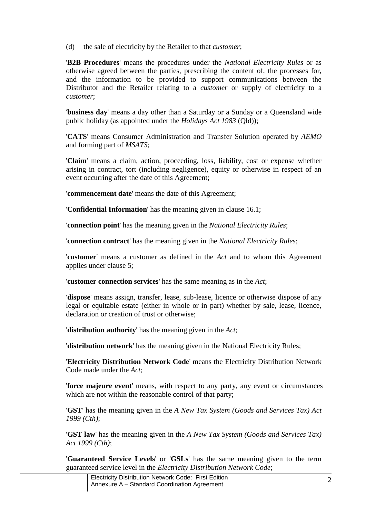(d) the sale of electricity by the Retailer to that *customer*;

'**B2B Procedures**' means the procedures under the *National Electricity Rules* or as otherwise agreed between the parties, prescribing the content of, the processes for, and the information to be provided to support communications between the Distributor and the Retailer relating to a *customer* or supply of electricity to a *customer*;

'**business day**' means a day other than a Saturday or a Sunday or a Queensland wide public holiday (as appointed under the *Holidays Act 1983* (Qld));

'**CATS**' means Consumer Administration and Transfer Solution operated by *AEMO* and forming part of *MSATS*;

'**Claim**' means a claim, action, proceeding, loss, liability, cost or expense whether arising in contract, tort (including negligence), equity or otherwise in respect of an event occurring after the date of this Agreement;

'**commencement date**' means the date of this Agreement;

'**Confidential Information**' has the meaning given in clause [16.1;](#page-15-0)

'**connection point**' has the meaning given in the *National Electricity Rules*;

'**connection contract**' has the meaning given in the *National Electricity Rules*;

'**customer**' means a customer as defined in the *Act* and to whom this Agreement applies under clause 5;

'**customer connection services**' has the same meaning as in the *Act*;

'**dispose**' means assign, transfer, lease, sub-lease, licence or otherwise dispose of any legal or equitable estate (either in whole or in part) whether by sale, lease, licence, declaration or creation of trust or otherwise;

'**distribution authority**' has the meaning given in the *Act*;

'**distribution network**' has the meaning given in the National Electricity Rules;

'**Electricity Distribution Network Code**' means the Electricity Distribution Network Code made under the *Act*;

'**force majeure event**' means, with respect to any party, any event or circumstances which are not within the reasonable control of that party;

'**GST**' has the meaning given in the *A New Tax System (Goods and Services Tax) Act 1999 (Cth)*;

'**GST law**' has the meaning given in the *A New Tax System (Goods and Services Tax) Act 1999 (Cth)*;

'**Guaranteed Service Levels**' or '**GSLs**' has the same meaning given to the term guaranteed service level in the *Electricity Distribution Network Code*;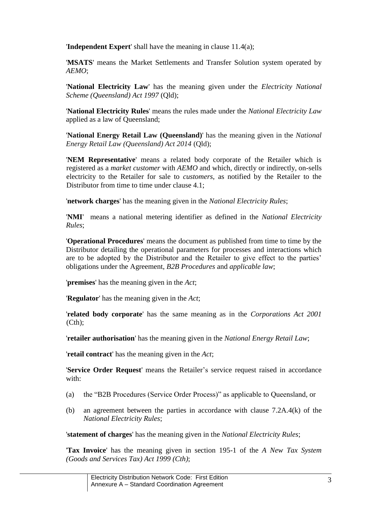'**Independent Expert**' shall have the meaning in clause [11.4\(a\);](#page-10-0)

'**MSATS**' means the Market Settlements and Transfer Solution system operated by *AEMO*;

'**National Electricity Law**' has the meaning given under the *Electricity National Scheme (Queensland) Act 1997* (Qld);

'**National Electricity Rules**' means the rules made under the *National Electricity Law* applied as a law of Queensland;

'**National Energy Retail Law (Queensland)**' has the meaning given in the *National Energy Retail Law (Queensland) Act 2014* (Qld);

'**NEM Representative**' means a related body corporate of the Retailer which is registered as a *market customer* with *AEMO* and which, directly or indirectly, on-sells electricity to the Retailer for sale to *customers*, as notified by the Retailer to the Distributor from time to time under clause [4.1;](#page-5-0)

'**network charges**' has the meaning given in the *National Electricity Rules*;

'**NMI**' means a national metering identifier as defined in the *National Electricity Rules*;

'**Operational Procedures**' means the document as published from time to time by the Distributor detailing the operational parameters for processes and interactions which are to be adopted by the Distributor and the Retailer to give effect to the parties' obligations under the Agreement, *B2B Procedures* and *applicable law*;

'**premises**' has the meaning given in the *Act*;

'**Regulator**' has the meaning given in the *Act*;

'**related body corporate**' has the same meaning as in the *Corporations Act 2001*  (Cth);

'**retailer authorisation**' has the meaning given in the *National Energy Retail Law*;

'**retail contract**' has the meaning given in the *Act*;

'**Service Order Request**' means the Retailer's service request raised in accordance with:

- (a) the "B2B Procedures (Service Order Process)" as applicable to Queensland, or
- (b) an agreement between the parties in accordance with clause 7.2A.4(k) of the *National Electricity Rules*;

'**statement of charges**' has the meaning given in the *National Electricity Rules*;

'**Tax Invoice**' has the meaning given in section 195-1 of the *A New Tax System (Goods and Services Tax) Act 1999 (Cth)*;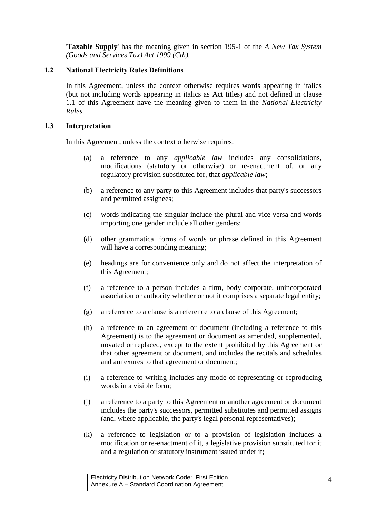'**Taxable Supply**' has the meaning given in section 195-1 of the *A New Tax System (Goods and Services Tax) Act 1999 (Cth).*

# **1.2 National Electricity Rules Definitions**

In this Agreement, unless the context otherwise requires words appearing in italics (but not including words appearing in italics as Act titles) and not defined in clause [1.1](#page-0-0) of this Agreement have the meaning given to them in the *National Electricity Rules*.

## **1.3 Interpretation**

In this Agreement, unless the context otherwise requires:

- (a) a reference to any *applicable law* includes any consolidations, modifications (statutory or otherwise) or re-enactment of, or any regulatory provision substituted for, that *applicable law*;
- (b) a reference to any party to this Agreement includes that party's successors and permitted assignees;
- (c) words indicating the singular include the plural and vice versa and words importing one gender include all other genders;
- (d) other grammatical forms of words or phrase defined in this Agreement will have a corresponding meaning;
- (e) headings are for convenience only and do not affect the interpretation of this Agreement;
- (f) a reference to a person includes a firm, body corporate, unincorporated association or authority whether or not it comprises a separate legal entity;
- (g) a reference to a clause is a reference to a clause of this Agreement;
- (h) a reference to an agreement or document (including a reference to this Agreement) is to the agreement or document as amended, supplemented, novated or replaced, except to the extent prohibited by this Agreement or that other agreement or document, and includes the recitals and schedules and annexures to that agreement or document;
- (i) a reference to writing includes any mode of representing or reproducing words in a visible form;
- (j) a reference to a party to this Agreement or another agreement or document includes the party's successors, permitted substitutes and permitted assigns (and, where applicable, the party's legal personal representatives);
- (k) a reference to legislation or to a provision of legislation includes a modification or re-enactment of it, a legislative provision substituted for it and a regulation or statutory instrument issued under it;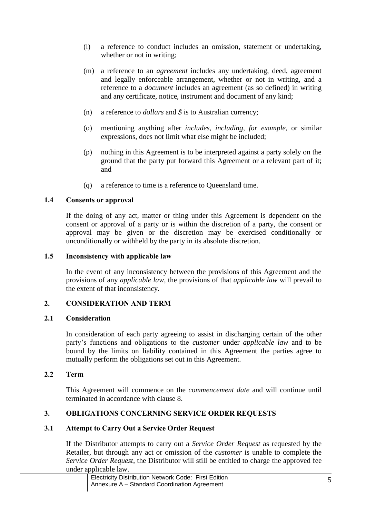- (l) a reference to conduct includes an omission, statement or undertaking, whether or not in writing;
- (m) a reference to an *agreement* includes any undertaking, deed, agreement and legally enforceable arrangement, whether or not in writing, and a reference to a *document* includes an agreement (as so defined) in writing and any certificate, notice, instrument and document of any kind;
- (n) a reference to *dollars* and *\$* is to Australian currency;
- (o) mentioning anything after *includes*, *including*, *for example*, or similar expressions, does not limit what else might be included;
- (p) nothing in this Agreement is to be interpreted against a party solely on the ground that the party put forward this Agreement or a relevant part of it; and
- (q) a reference to time is a reference to Queensland time.

## **1.4 Consents or approval**

If the doing of any act, matter or thing under this Agreement is dependent on the consent or approval of a party or is within the discretion of a party, the consent or approval may be given or the discretion may be exercised conditionally or unconditionally or withheld by the party in its absolute discretion.

#### **1.5 Inconsistency with applicable law**

In the event of any inconsistency between the provisions of this Agreement and the provisions of any *applicable law*, the provisions of that *applicable law* will prevail to the extent of that inconsistency.

## **2. CONSIDERATION AND TERM**

#### **2.1 Consideration**

In consideration of each party agreeing to assist in discharging certain of the other party's functions and obligations to the *customer* under *applicable law* and to be bound by the limits on liability contained in this Agreement the parties agree to mutually perform the obligations set out in this Agreement.

#### **2.2 Term**

This Agreement will commence on the *commencement date* and will continue until terminated in accordance with clause [8.](#page-7-0)

## **3. OBLIGATIONS CONCERNING SERVICE ORDER REQUESTS**

## **3.1 Attempt to Carry Out a Service Order Request**

If the Distributor attempts to carry out a *Service Order Request* as requested by the Retailer, but through any act or omission of the *customer* is unable to complete the *Service Order Request*, the Distributor will still be entitled to charge the approved fee under applicable law.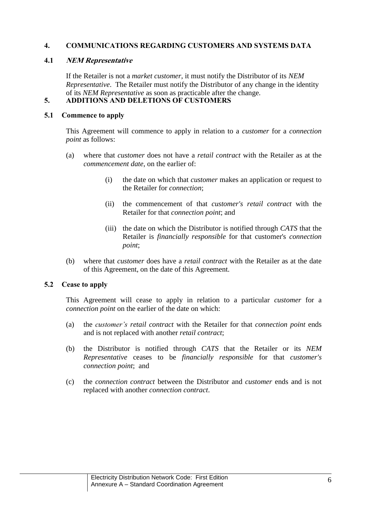# **4. COMMUNICATIONS REGARDING CUSTOMERS AND SYSTEMS DATA**

## <span id="page-5-0"></span>**4.1 NEM Representative**

If the Retailer is not a *market customer*, it must notify the Distributor of its *NEM Representative*. The Retailer must notify the Distributor of any change in the identity of its *NEM Representative* as soon as practicable after the change.

## **5. ADDITIONS AND DELETIONS OF CUSTOMERS**

## **5.1 Commence to apply**

This Agreement will commence to apply in relation to a *customer* for a *connection point* as follows:

- (a) where that *customer* does not have a *retail contract* with the Retailer as at the *commencement date*, on the earlier of:
	- (i) the date on which that *customer* makes an application or request to the Retailer for *connection*;
	- (ii) the commencement of that *customer's retail contract* with the Retailer for that *connection point*; and
	- (iii) the date on which the Distributor is notified through *CATS* that the Retailer is *financially responsible* for that customer's *connection point*;
- (b) where that *customer* does have a *retail contract* with the Retailer as at the date of this Agreement, on the date of this Agreement.

## <span id="page-5-1"></span>**5.2 Cease to apply**

This Agreement will cease to apply in relation to a particular *customer* for a *connection point* on the earlier of the date on which:

- (a) the *customer's retail contract* with the Retailer for that *connection point* ends and is not replaced with another *retail contract*;
- (b) the Distributor is notified through *CATS* that the Retailer or its *NEM Representative* ceases to be *financially responsible* for that *customer's connection point*; and
- (c) the *connection contract* between the Distributor and *customer* ends and is not replaced with another *connection contract*.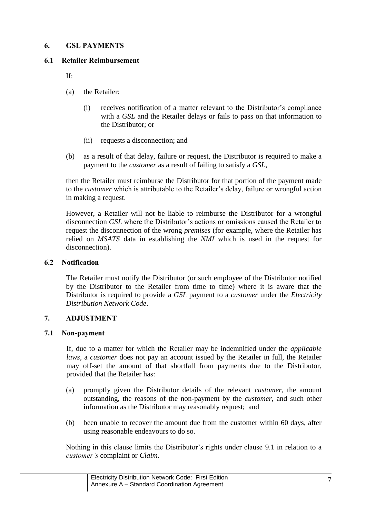# **6. GSL PAYMENTS**

## **6.1 Retailer Reimbursement**

If:

- (a) the Retailer:
	- (i) receives notification of a matter relevant to the Distributor's compliance with a *GSL* and the Retailer delays or fails to pass on that information to the Distributor; or
	- (ii) requests a disconnection; and
- (b) as a result of that delay, failure or request, the Distributor is required to make a payment to the *customer* as a result of failing to satisfy a *GSL*,

then the Retailer must reimburse the Distributor for that portion of the payment made to the *customer* which is attributable to the Retailer's delay, failure or wrongful action in making a request.

However, a Retailer will not be liable to reimburse the Distributor for a wrongful disconnection *GSL* where the Distributor's actions or omissions caused the Retailer to request the disconnection of the wrong *premises* (for example, where the Retailer has relied on *MSATS* data in establishing the *NMI* which is used in the request for disconnection).

### **6.2 Notification**

The Retailer must notify the Distributor (or such employee of the Distributor notified by the Distributor to the Retailer from time to time) where it is aware that the Distributor is required to provide a *GSL* payment to a *customer* under the *Electricity Distribution Network Code*.

## **7. ADJUSTMENT**

#### **7.1 Non-payment**

If, due to a matter for which the Retailer may be indemnified under the *applicable laws*, a *customer* does not pay an account issued by the Retailer in full, the Retailer may off-set the amount of that shortfall from payments due to the Distributor, provided that the Retailer has:

- (a) promptly given the Distributor details of the relevant *customer*, the amount outstanding, the reasons of the non-payment by the *customer*, and such other information as the Distributor may reasonably request; and
- (b) been unable to recover the amount due from the customer within 60 days, after using reasonable endeavours to do so.

Nothing in this clause limits the Distributor's rights under clause 9.1 in relation to a *customer's* complaint or *Claim*.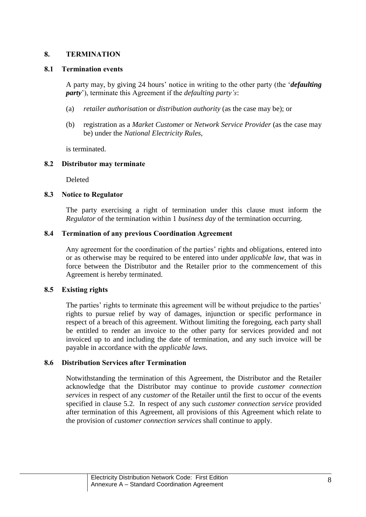## <span id="page-7-0"></span>**8. TERMINATION**

#### **8.1 Termination events**

A party may, by giving 24 hours' notice in writing to the other party (the '*defaulting party*'), terminate this Agreement if the *defaulting party's*:

- (a) *retailer authorisation* or *distribution authority* (as the case may be); or
- (b) registration as a *Market Customer* or *Network Service Provider* (as the case may be) under the *National Electricity Rules*,

is terminated.

### **8.2 Distributor may terminate**

Deleted

### **8.3 Notice to Regulator**

The party exercising a right of termination under this clause must inform the *Regulator* of the termination within 1 *business day* of the termination occurring.

### **8.4 Termination of any previous Coordination Agreement**

Any agreement for the coordination of the parties' rights and obligations, entered into or as otherwise may be required to be entered into under *applicable law*, that was in force between the Distributor and the Retailer prior to the commencement of this Agreement is hereby terminated.

#### **8.5 Existing rights**

The parties' rights to terminate this agreement will be without prejudice to the parties' rights to pursue relief by way of damages, injunction or specific performance in respect of a breach of this agreement. Without limiting the foregoing, each party shall be entitled to render an invoice to the other party for services provided and not invoiced up to and including the date of termination, and any such invoice will be payable in accordance with the *applicable laws*.

#### **8.6 Distribution Services after Termination**

Notwithstanding the termination of this Agreement, the Distributor and the Retailer acknowledge that the Distributor may continue to provide *customer connection services* in respect of any *customer* of the Retailer until the first to occur of the events specified in clause [5.2.](#page-5-1) In respect of any such *customer connection service* provided after termination of this Agreement, all provisions of this Agreement which relate to the provision of *customer connection services* shall continue to apply.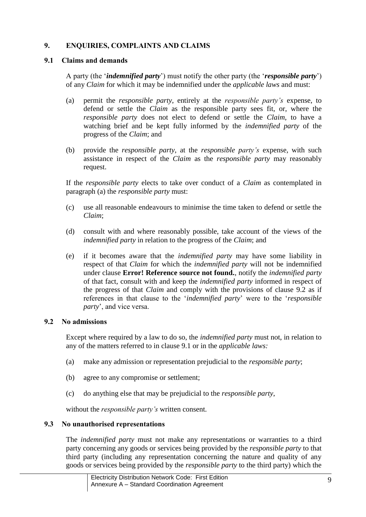# **9. ENQUIRIES, COMPLAINTS AND CLAIMS**

# **9.1 Claims and demands**

A party (the '*indemnified party*') must notify the other party (the '*responsible party*') of any *Claim* for which it may be indemnified under the *applicable laws* and must:

- (a) permit the *responsible party*, entirely at the *responsible party's* expense, to defend or settle the *Claim* as the responsible party sees fit, or, where the *responsible party* does not elect to defend or settle the *Claim*, to have a watching brief and be kept fully informed by the *indemnified party* of the progress of the *Claim*; and
- (b) provide the *responsible party*, at the *responsible party's* expense, with such assistance in respect of the *Claim* as the *responsible party* may reasonably request.

If the *responsible party* elects to take over conduct of a *Claim* as contemplated in paragraph (a) the *responsible party* must:

- (c) use all reasonable endeavours to minimise the time taken to defend or settle the *Claim*;
- (d) consult with and where reasonably possible, take account of the views of the *indemnified party* in relation to the progress of the *Claim*; and
- (e) if it becomes aware that the *indemnified party* may have some liability in respect of that *Claim* for which the *indemnified party* will not be indemnified under clause **Error! Reference source not found.**, notify the *indemnified party* of that fact, consult with and keep the *indemnified party* informed in respect of the progress of that *Claim* and comply with the provisions of clause [9.2](#page-8-0) as if references in that clause to the '*indemnified party*' were to the '*responsible party*', and vice versa.

## <span id="page-8-0"></span>**9.2 No admissions**

Except where required by a law to do so, the *indemnified party* must not, in relation to any of the matters referred to in clause 9.1 or in the *applicable laws:*

- (a) make any admission or representation prejudicial to the *responsible party*;
- (b) agree to any compromise or settlement;
- (c) do anything else that may be prejudicial to the *responsible party*,

without the *responsible party's* written consent.

## **9.3 No unauthorised representations**

The *indemnified party* must not make any representations or warranties to a third party concerning any goods or services being provided by the *responsible party* to that third party (including any representation concerning the nature and quality of any goods or services being provided by the *responsible party* to the third party) which the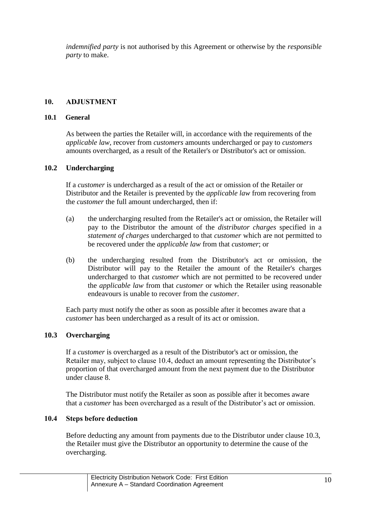*indemnified party* is not authorised by this Agreement or otherwise by the *responsible party* to make.

# <span id="page-9-0"></span>**10. ADJUSTMENT**

## **10.1 General**

As between the parties the Retailer will, in accordance with the requirements of the *applicable law,* recover from *customers* amounts undercharged or pay to *customers*  amounts overcharged, as a result of the Retailer's or Distributor's act or omission.

## **10.2 Undercharging**

If a *customer* is undercharged as a result of the act or omission of the Retailer or Distributor and the Retailer is prevented by the *applicable law* from recovering from the *customer* the full amount undercharged, then if:

- (a) the undercharging resulted from the Retailer's act or omission, the Retailer will pay to the Distributor the amount of the *distributor charges* specified in a *statement of charges* undercharged to that *customer* which are not permitted to be recovered under the *applicable law* from that *customer*; or
- (b) the undercharging resulted from the Distributor's act or omission, the Distributor will pay to the Retailer the amount of the Retailer's charges undercharged to that *customer* which are not permitted to be recovered under the *applicable law* from that *customer* or which the Retailer using reasonable endeavours is unable to recover from the *customer*.

Each party must notify the other as soon as possible after it becomes aware that a *customer* has been undercharged as a result of its act or omission.

## **10.3 Overcharging**

If a *customer* is overcharged as a result of the Distributor's act or omission, the Retailer may, subject to clause 10.4, deduct an amount representing the Distributor's proportion of that overcharged amount from the next payment due to the Distributor under clause 8.

The Distributor must notify the Retailer as soon as possible after it becomes aware that a *customer* has been overcharged as a result of the Distributor's act or omission.

## **10.4 Steps before deduction**

Before deducting any amount from payments due to the Distributor under clause 10.3, the Retailer must give the Distributor an opportunity to determine the cause of the overcharging.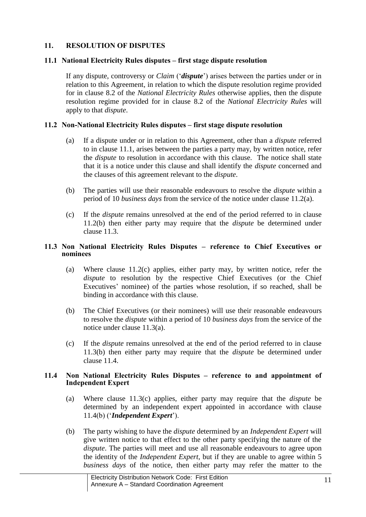# **11. RESOLUTION OF DISPUTES**

## <span id="page-10-1"></span>**11.1 National Electricity Rules disputes – first stage dispute resolution**

If any dispute, controversy or *Claim* ('*dispute*') arises between the parties under or in relation to this Agreement, in relation to which the dispute resolution regime provided for in clause 8.2 of the *National Electricity Rules* otherwise applies, then the dispute resolution regime provided for in clause 8.2 of the *National Electricity Rules* will apply to that *dispute*.

## <span id="page-10-2"></span>**11.2 Non-National Electricity Rules disputes – first stage dispute resolution**

- (a) If a dispute under or in relation to this Agreement, other than a *dispute* referred to in clause [11.1,](#page-10-1) arises between the parties a party may, by written notice, refer the *dispute* to resolution in accordance with this clause. The notice shall state that it is a notice under this clause and shall identify the *dispute* concerned and the clauses of this agreement relevant to the *dispute*.
- (b) The parties will use their reasonable endeavours to resolve the *dispute* within a period of 10 *business days* from the service of the notice under clause [11.2\(](#page-10-2)a).
- (c) If the *dispute* remains unresolved at the end of the period referred to in clause [11.2\(](#page-10-2)b) then either party may require that the *dispute* be determined under clause [11.3.](#page-10-3)

### <span id="page-10-3"></span>**11.3 Non National Electricity Rules Disputes – reference to Chief Executives or nominees**

- (a) Where clause [11.2\(](#page-10-2)c) applies, either party may, by written notice, refer the *dispute* to resolution by the respective Chief Executives (or the Chief Executives' nominee) of the parties whose resolution, if so reached, shall be binding in accordance with this clause.
- (b) The Chief Executives (or their nominees) will use their reasonable endeavours to resolve the *dispute* within a period of 10 *business days* from the service of the notice under clause [11.3\(](#page-10-3)a).
- (c) If the *dispute* remains unresolved at the end of the period referred to in clause [11.3\(](#page-10-3)b) then either party may require that the *dispute* be determined under clause [11.4.](#page-10-0)

#### <span id="page-10-0"></span>**11.4 Non National Electricity Rules Disputes – reference to and appointment of Independent Expert**

- (a) Where clause [11.3\(](#page-10-3)c) applies, either party may require that the *dispute* be determined by an independent expert appointed in accordance with clause [11.4\(](#page-10-0)b) ('*Independent Expert*').
- (b) The party wishing to have the *dispute* determined by an *Independent Expert* will give written notice to that effect to the other party specifying the nature of the *dispute*. The parties will meet and use all reasonable endeavours to agree upon the identity of the *Independent Expert*, but if they are unable to agree within 5 *business days* of the notice, then either party may refer the matter to the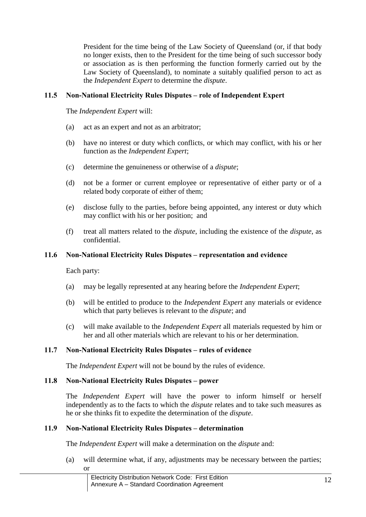President for the time being of the Law Society of Queensland (or, if that body no longer exists, then to the President for the time being of such successor body or association as is then performing the function formerly carried out by the Law Society of Queensland), to nominate a suitably qualified person to act as the *Independent Expert* to determine the *dispute*.

## **11.5 Non-National Electricity Rules Disputes – role of Independent Expert**

The *Independent Expert* will:

- (a) act as an expert and not as an arbitrator;
- (b) have no interest or duty which conflicts, or which may conflict, with his or her function as the *Independent Expert*;
- (c) determine the genuineness or otherwise of a *dispute*;
- (d) not be a former or current employee or representative of either party or of a related body corporate of either of them;
- (e) disclose fully to the parties, before being appointed, any interest or duty which may conflict with his or her position; and
- (f) treat all matters related to the *dispute*, including the existence of the *dispute*, as confidential.

## **11.6 Non-National Electricity Rules Disputes – representation and evidence**

Each party:

- (a) may be legally represented at any hearing before the *Independent Expert*;
- (b) will be entitled to produce to the *Independent Expert* any materials or evidence which that party believes is relevant to the *dispute*; and
- (c) will make available to the *Independent Expert* all materials requested by him or her and all other materials which are relevant to his or her determination.

## **11.7 Non-National Electricity Rules Disputes – rules of evidence**

The *Independent Expert* will not be bound by the rules of evidence.

### **11.8 Non-National Electricity Rules Disputes – power**

The *Independent Expert* will have the power to inform himself or herself independently as to the facts to which the *dispute* relates and to take such measures as he or she thinks fit to expedite the determination of the *dispute*.

### **11.9 Non-National Electricity Rules Disputes – determination**

The *Independent Expert* will make a determination on the *dispute* and:

(a) will determine what, if any, adjustments may be necessary between the parties; or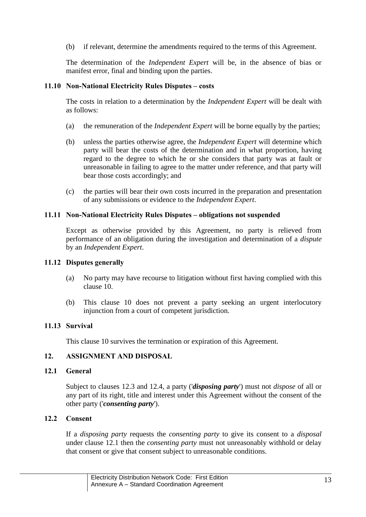(b) if relevant, determine the amendments required to the terms of this Agreement.

The determination of the *Independent Expert* will be, in the absence of bias or manifest error, final and binding upon the parties.

### **11.10 Non-National Electricity Rules Disputes – costs**

The costs in relation to a determination by the *Independent Expert* will be dealt with as follows:

- (a) the remuneration of the *Independent Expert* will be borne equally by the parties;
- (b) unless the parties otherwise agree, the *Independent Expert* will determine which party will bear the costs of the determination and in what proportion, having regard to the degree to which he or she considers that party was at fault or unreasonable in failing to agree to the matter under reference, and that party will bear those costs accordingly; and
- (c) the parties will bear their own costs incurred in the preparation and presentation of any submissions or evidence to the *Independent Expert*.

### **11.11 Non-National Electricity Rules Disputes – obligations not suspended**

Except as otherwise provided by this Agreement, no party is relieved from performance of an obligation during the investigation and determination of a *dispute* by an *Independent Expert*.

### **11.12 Disputes generally**

- (a) No party may have recourse to litigation without first having complied with this clause [10.](#page-9-0)
- (b) This clause [10](#page-9-0) does not prevent a party seeking an urgent interlocutory injunction from a court of competent jurisdiction.

## **11.13 Survival**

This clause [10](#page-9-0) survives the termination or expiration of this Agreement.

## **12. ASSIGNMENT AND DISPOSAL**

## <span id="page-12-0"></span>**12.1 General**

Subject to clauses [12.3](#page-13-0) and [12.4,](#page-13-1) a party ('*disposing party*') must not *dispose* of all or any part of its right, title and interest under this Agreement without the consent of the other party ('*consenting party*').

## **12.2 Consent**

If a *disposing party* requests the *consenting party* to give its consent to a *disposal*  under clause [12.1](#page-12-0) then the *consenting party* must not unreasonably withhold or delay that consent or give that consent subject to unreasonable conditions.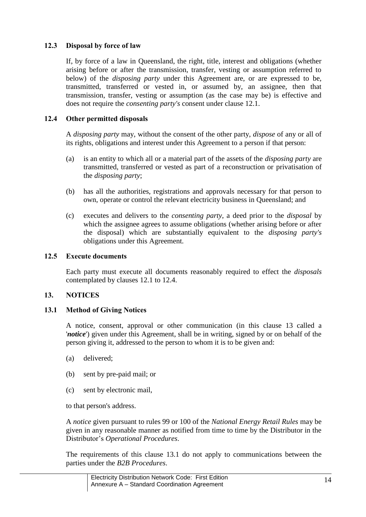# <span id="page-13-0"></span>**12.3 Disposal by force of law**

If, by force of a law in Queensland, the right, title, interest and obligations (whether arising before or after the transmission, transfer, vesting or assumption referred to below) of the *disposing party* under this Agreement are, or are expressed to be, transmitted, transferred or vested in, or assumed by, an assignee, then that transmission, transfer, vesting or assumption (as the case may be) is effective and does not require the *consenting party's* consent under clause [12.1.](#page-12-0)

# <span id="page-13-1"></span>**12.4 Other permitted disposals**

A *disposing party* may, without the consent of the other party, *dispose* of any or all of its rights, obligations and interest under this Agreement to a person if that person:

- (a) is an entity to which all or a material part of the assets of the *disposing party* are transmitted, transferred or vested as part of a reconstruction or privatisation of the *disposing party*;
- (b) has all the authorities, registrations and approvals necessary for that person to own, operate or control the relevant electricity business in Queensland; and
- (c) executes and delivers to the *consenting party*, a deed prior to the *disposal* by which the assignee agrees to assume obligations (whether arising before or after the disposal) which are substantially equivalent to the *disposing party's* obligations under this Agreement.

## **12.5 Execute documents**

Each party must execute all documents reasonably required to effect the *disposals* contemplated by clauses [12.1](#page-12-0) to [12.4.](#page-13-1)

## <span id="page-13-2"></span>**13. NOTICES**

## <span id="page-13-3"></span>**13.1 Method of Giving Notices**

A notice, consent, approval or other communication (in this clause [13](#page-13-2) called a '*notice*') given under this Agreement, shall be in writing, signed by or on behalf of the person giving it, addressed to the person to whom it is to be given and:

- (a) delivered;
- (b) sent by pre-paid mail; or
- (c) sent by electronic mail,

to that person's address.

A *notice* given pursuant to rules 99 or 100 of the *National Energy Retail Rules* may be given in any reasonable manner as notified from time to time by the Distributor in the Distributor's *Operational Procedures*.

The requirements of this clause [13.1](#page-13-3) do not apply to communications between the parties under the *B2B Procedures*.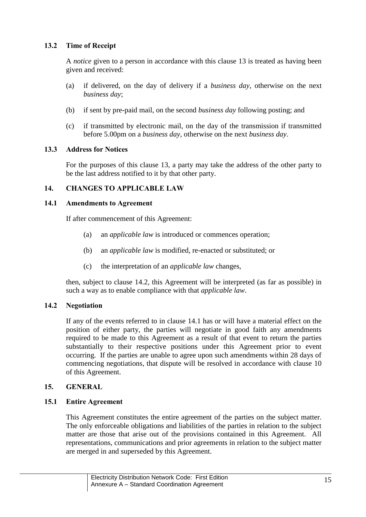# **13.2 Time of Receipt**

A *notice* given to a person in accordance with this clause [13](#page-13-2) is treated as having been given and received:

- (a) if delivered, on the day of delivery if a *business day*, otherwise on the next *business day*;
- (b) if sent by pre-paid mail, on the second *business day* following posting; and
- (c) if transmitted by electronic mail, on the day of the transmission if transmitted before 5.00pm on a *business day*, otherwise on the next *business day*.

### **13.3 Address for Notices**

For the purposes of this clause [13,](#page-13-2) a party may take the address of the other party to be the last address notified to it by that other party.

## **14. CHANGES TO APPLICABLE LAW**

### <span id="page-14-1"></span>**14.1 Amendments to Agreement**

If after commencement of this Agreement:

- (a) an *applicable law* is introduced or commences operation;
- (b) an *applicable law* is modified, re-enacted or substituted; or
- (c) the interpretation of an *applicable law* changes,

then, subject to clause [14.2,](#page-14-0) this Agreement will be interpreted (as far as possible) in such a way as to enable compliance with that *applicable law*.

## <span id="page-14-0"></span>**14.2 Negotiation**

If any of the events referred to in clause [14.1](#page-14-1) has or will have a material effect on the position of either party, the parties will negotiate in good faith any amendments required to be made to this Agreement as a result of that event to return the parties substantially to their respective positions under this Agreement prior to event occurring. If the parties are unable to agree upon such amendments within 28 days of commencing negotiations, that dispute will be resolved in accordance with clause [10](#page-9-0) of this Agreement.

## **15. GENERAL**

## **15.1 Entire Agreement**

This Agreement constitutes the entire agreement of the parties on the subject matter. The only enforceable obligations and liabilities of the parties in relation to the subject matter are those that arise out of the provisions contained in this Agreement. All representations, communications and prior agreements in relation to the subject matter are merged in and superseded by this Agreement.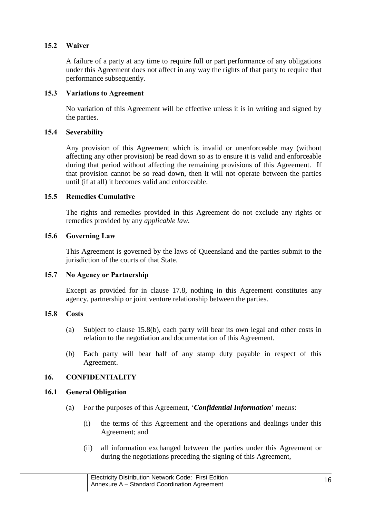# **15.2 Waiver**

A failure of a party at any time to require full or part performance of any obligations under this Agreement does not affect in any way the rights of that party to require that performance subsequently.

## **15.3 Variations to Agreement**

No variation of this Agreement will be effective unless it is in writing and signed by the parties.

### **15.4 Severability**

Any provision of this Agreement which is invalid or unenforceable may (without affecting any other provision) be read down so as to ensure it is valid and enforceable during that period without affecting the remaining provisions of this Agreement. If that provision cannot be so read down, then it will not operate between the parties until (if at all) it becomes valid and enforceable.

### **15.5 Remedies Cumulative**

The rights and remedies provided in this Agreement do not exclude any rights or remedies provided by any *applicable law*.

## **15.6 Governing Law**

This Agreement is governed by the laws of Queensland and the parties submit to the jurisdiction of the courts of that State.

## **15.7 No Agency or Partnership**

Except as provided for in clause [17.8,](#page-18-0) nothing in this Agreement constitutes any agency, partnership or joint venture relationship between the parties.

#### <span id="page-15-1"></span>**15.8 Costs**

- (a) Subject to clause [15.8\(](#page-15-1)b), each party will bear its own legal and other costs in relation to the negotiation and documentation of this Agreement.
- (b) Each party will bear half of any stamp duty payable in respect of this Agreement.

#### <span id="page-15-2"></span>**16. CONFIDENTIALITY**

#### <span id="page-15-0"></span>**16.1 General Obligation**

- (a) For the purposes of this Agreement, '*Confidential Information*' means:
	- (i) the terms of this Agreement and the operations and dealings under this Agreement; and
	- (ii) all information exchanged between the parties under this Agreement or during the negotiations preceding the signing of this Agreement,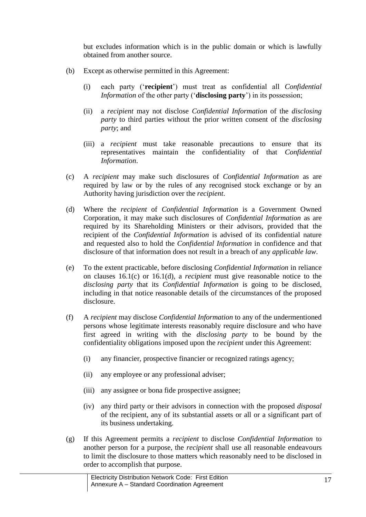but excludes information which is in the public domain or which is lawfully obtained from another source.

- (b) Except as otherwise permitted in this Agreement:
	- (i) each party ('**recipient**') must treat as confidential all *Confidential Information* of the other party ('**disclosing party**') in its possession;
	- (ii) a *recipient* may not disclose *Confidential Information* of the *disclosing party* to third parties without the prior written consent of the *disclosing party*; and
	- (iii) a *recipient* must take reasonable precautions to ensure that its representatives maintain the confidentiality of that *Confidential Information*.
- (c) A *recipient* may make such disclosures of *Confidential Information* as are required by law or by the rules of any recognised stock exchange or by an Authority having jurisdiction over the *recipient*.
- (d) Where the *recipient* of *Confidential Information* is a Government Owned Corporation, it may make such disclosures of *Confidential Information* as are required by its Shareholding Ministers or their advisors, provided that the recipient of the *Confidential Information* is advised of its confidential nature and requested also to hold the *Confidential Information* in confidence and that disclosure of that information does not result in a breach of any *applicable law*.
- (e) To the extent practicable, before disclosing *Confidential Information* in reliance on clauses [16.1\(](#page-15-0)c) or [16.1\(](#page-15-0)d), a *recipient* must give reasonable notice to the *disclosing party* that its *Confidential Information* is going to be disclosed, including in that notice reasonable details of the circumstances of the proposed disclosure.
- (f) A *recipient* may disclose *Confidential Information* to any of the undermentioned persons whose legitimate interests reasonably require disclosure and who have first agreed in writing with the *disclosing party* to be bound by the confidentiality obligations imposed upon the *recipient* under this Agreement:
	- (i) any financier, prospective financier or recognized ratings agency;
	- (ii) any employee or any professional adviser;
	- (iii) any assignee or bona fide prospective assignee;
	- (iv) any third party or their advisors in connection with the proposed *disposal* of the recipient, any of its substantial assets or all or a significant part of its business undertaking.
- (g) If this Agreement permits a *recipient* to disclose *Confidential Information* to another person for a purpose, the *recipient* shall use all reasonable endeavours to limit the disclosure to those matters which reasonably need to be disclosed in order to accomplish that purpose.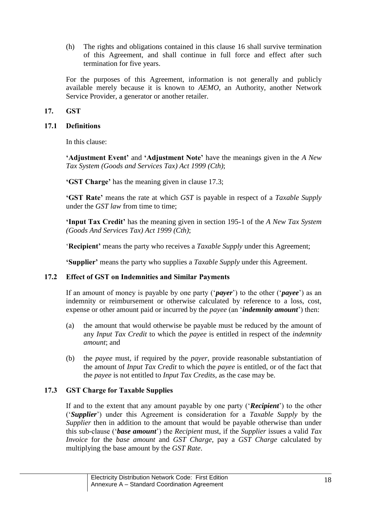(h) The rights and obligations contained in this clause [16](#page-15-2) shall survive termination of this Agreement, and shall continue in full force and effect after such termination for five years.

For the purposes of this Agreement, information is not generally and publicly available merely because it is known to *AEMO*, an Authority, another Network Service Provider, a generator or another retailer.

# **17. GST**

# **17.1 Definitions**

In this clause:

**'Adjustment Event'** and **'Adjustment Note'** have the meanings given in the *A New Tax System (Goods and Services Tax) Act 1999 (Cth)*;

**'GST Charge'** has the meaning given in clause [17.3;](#page-17-0)

**'GST Rate'** means the rate at which *GST* is payable in respect of a *Taxable Supply* under the *GST law* from time to time;

**'Input Tax Credit'** has the meaning given in section 195-1 of the *A New Tax System (Goods And Services Tax) Act 1999 (Cth)*;

'**Recipient'** means the party who receives a *Taxable Supply* under this Agreement;

**'Supplier'** means the party who supplies a *Taxable Supply* under this Agreement.

## **17.2 Effect of GST on Indemnities and Similar Payments**

If an amount of money is payable by one party ('*payer*') to the other ('*payee*') as an indemnity or reimbursement or otherwise calculated by reference to a loss, cost, expense or other amount paid or incurred by the *payee* (an '*indemnity amount*') then:

- (a) the amount that would otherwise be payable must be reduced by the amount of any *Input Tax Credit* to which the *payee* is entitled in respect of the *indemnity amount*; and
- (b) the *payee* must, if required by the *payer*, provide reasonable substantiation of the amount of *Input Tax Credit* to which the *payee* is entitled, or of the fact that the *payee* is not entitled to *Input Tax Credits*, as the case may be.

# <span id="page-17-0"></span>**17.3 GST Charge for Taxable Supplies**

If and to the extent that any amount payable by one party ('*Recipient*') to the other ('*Supplier*') under this Agreement is consideration for a *Taxable Supply* by the *Supplier* then in addition to the amount that would be payable otherwise than under this sub-clause ('*base amount*') the *Recipient* must, if the *Supplier* issues a valid *Tax Invoice* for the *base amount* and *GST Charge*, pay a *GST Charge* calculated by multiplying the base amount by the *GST Rate*.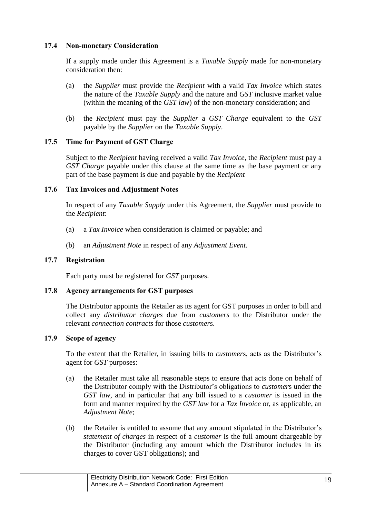## **17.4 Non-monetary Consideration**

If a supply made under this Agreement is a *Taxable Supply* made for non-monetary consideration then:

- (a) the *Supplier* must provide the *Recipient* with a valid *Tax Invoice* which states the nature of the *Taxable Supply* and the nature and *GST* inclusive market value (within the meaning of the *GST law*) of the non-monetary consideration; and
- (b) the *Recipient* must pay the *Supplier* a *GST Charge* equivalent to the *GST* payable by the *Supplier* on the *Taxable Supply*.

# **17.5 Time for Payment of GST Charge**

Subject to the *Recipient* having received a valid *Tax Invoice*, the *Recipient* must pay a *GST Charge* payable under this clause at the same time as the base payment or any part of the base payment is due and payable by the *Recipient*

## **17.6 Tax Invoices and Adjustment Notes**

In respect of any *Taxable Supply* under this Agreement, the *Supplier* must provide to the *Recipient*:

- (a) a *Tax Invoice* when consideration is claimed or payable; and
- (b) an *Adjustment Note* in respect of any *Adjustment Event*.

# **17.7 Registration**

Each party must be registered for *GST* purposes.

## <span id="page-18-0"></span>**17.8 Agency arrangements for GST purposes**

The Distributor appoints the Retailer as its agent for GST purposes in order to bill and collect any *distributor charges* due from *customers* to the Distributor under the relevant *connection contracts* for those *customer*s.

## <span id="page-18-1"></span>**17.9 Scope of agency**

To the extent that the Retailer, in issuing bills to *customer*s, acts as the Distributor's agent for *GST* purposes:

- (a) the Retailer must take all reasonable steps to ensure that acts done on behalf of the Distributor comply with the Distributor's obligations to *customer*s under the *GST law*, and in particular that any bill issued to a *customer* is issued in the form and manner required by the *GST law* for a *Tax Invoice* or, as applicable, an *Adjustment Note*;
- (b) the Retailer is entitled to assume that any amount stipulated in the Distributor's *statement of charges* in respect of a *customer* is the full amount chargeable by the Distributor (including any amount which the Distributor includes in its charges to cover GST obligations); and